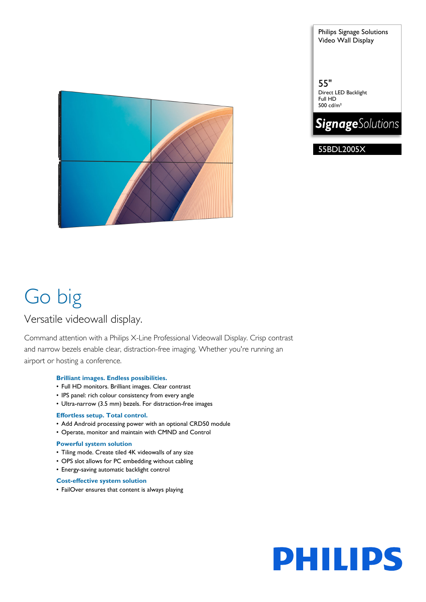

Philips Signage Solutions Video Wall Display

55" Direct LED Backlight Full HD 500 cd/m²



55BDL2005X

## Go big

### Versatile videowall display.

Command attention with a Philips X-Line Professional Videowall Display. Crisp contrast and narrow bezels enable clear, distraction-free imaging. Whether you're running an airport or hosting a conference.

#### **Brilliant images. Endless possibilities.**

- Full HD monitors. Brilliant images. Clear contrast
- IPS panel: rich colour consistency from every angle
- Ultra-narrow (3.5 mm) bezels. For distraction-free images

#### **Effortless setup. Total control.**

- Add Android processing power with an optional CRD50 module
- Operate, monitor and maintain with CMND and Control

#### **Powerful system solution**

- Tiling mode. Create tiled 4K videowalls of any size
- OPS slot allows for PC embedding without cabling
- Energy-saving automatic backlight control

#### **Cost-effective system solution**

• FailOver ensures that content is always playing

# **PHILIPS**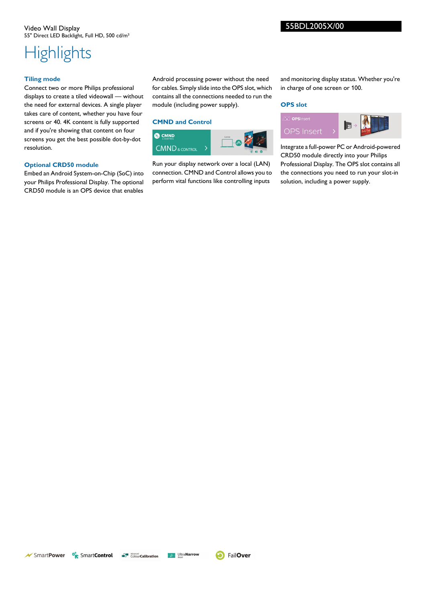## **Highlights**

#### **Tiling mode**

Connect two or more Philips professional displays to create a tiled videowall — without the need for external devices. A single player takes care of content, whether you have four screens or 40. 4K content is fully supported and if you're showing that content on four screens you get the best possible dot-by-dot resolution.

#### **Optional CRD50 module**

Embed an Android System-on-Chip (SoC) into your Philips Professional Display. The optional CRD50 module is an OPS device that enables

Android processing power without the need for cables. Simply slide into the OPS slot, which contains all the connections needed to run the module (including power supply).

#### **CMND and Control**



Run your display network over a local (LAN) connection. CMND and Control allows you to perform vital functions like controlling inputs

and monitoring display status. Whether you're in charge of one screen or 100.

#### **OPS slot**



Integrate a full-power PC or Android-powered CRD50 module directly into your Philips Professional Display. The OPS slot contains all the connections you need to run your slot-in solution, including a power supply.